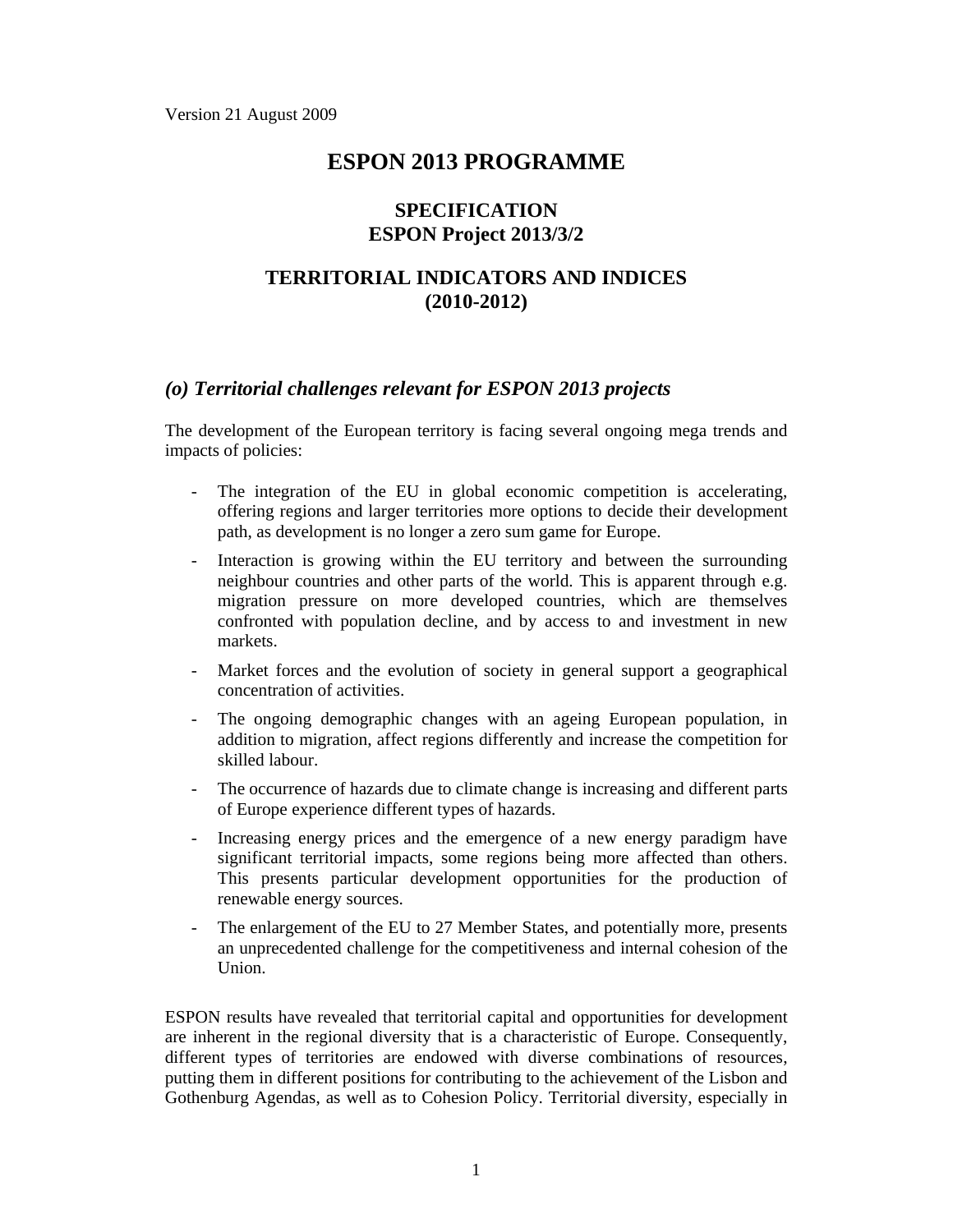# **ESPON 2013 PROGRAMME**

### **SPECIFICATION ESPON Project 2013/3/2**

# **TERRITORIAL INDICATORS AND INDICES (2010-2012)**

#### *(o) Territorial challenges relevant for ESPON 2013 projects*

The development of the European territory is facing several ongoing mega trends and impacts of policies:

- The integration of the EU in global economic competition is accelerating, offering regions and larger territories more options to decide their development path, as development is no longer a zero sum game for Europe.
- Interaction is growing within the EU territory and between the surrounding neighbour countries and other parts of the world. This is apparent through e.g. migration pressure on more developed countries, which are themselves confronted with population decline, and by access to and investment in new markets.
- Market forces and the evolution of society in general support a geographical concentration of activities.
- The ongoing demographic changes with an ageing European population, in addition to migration, affect regions differently and increase the competition for skilled labour.
- The occurrence of hazards due to climate change is increasing and different parts of Europe experience different types of hazards.
- Increasing energy prices and the emergence of a new energy paradigm have significant territorial impacts, some regions being more affected than others. This presents particular development opportunities for the production of renewable energy sources.
- The enlargement of the EU to 27 Member States, and potentially more, presents an unprecedented challenge for the competitiveness and internal cohesion of the Union.

ESPON results have revealed that territorial capital and opportunities for development are inherent in the regional diversity that is a characteristic of Europe. Consequently, different types of territories are endowed with diverse combinations of resources, putting them in different positions for contributing to the achievement of the Lisbon and Gothenburg Agendas, as well as to Cohesion Policy. Territorial diversity, especially in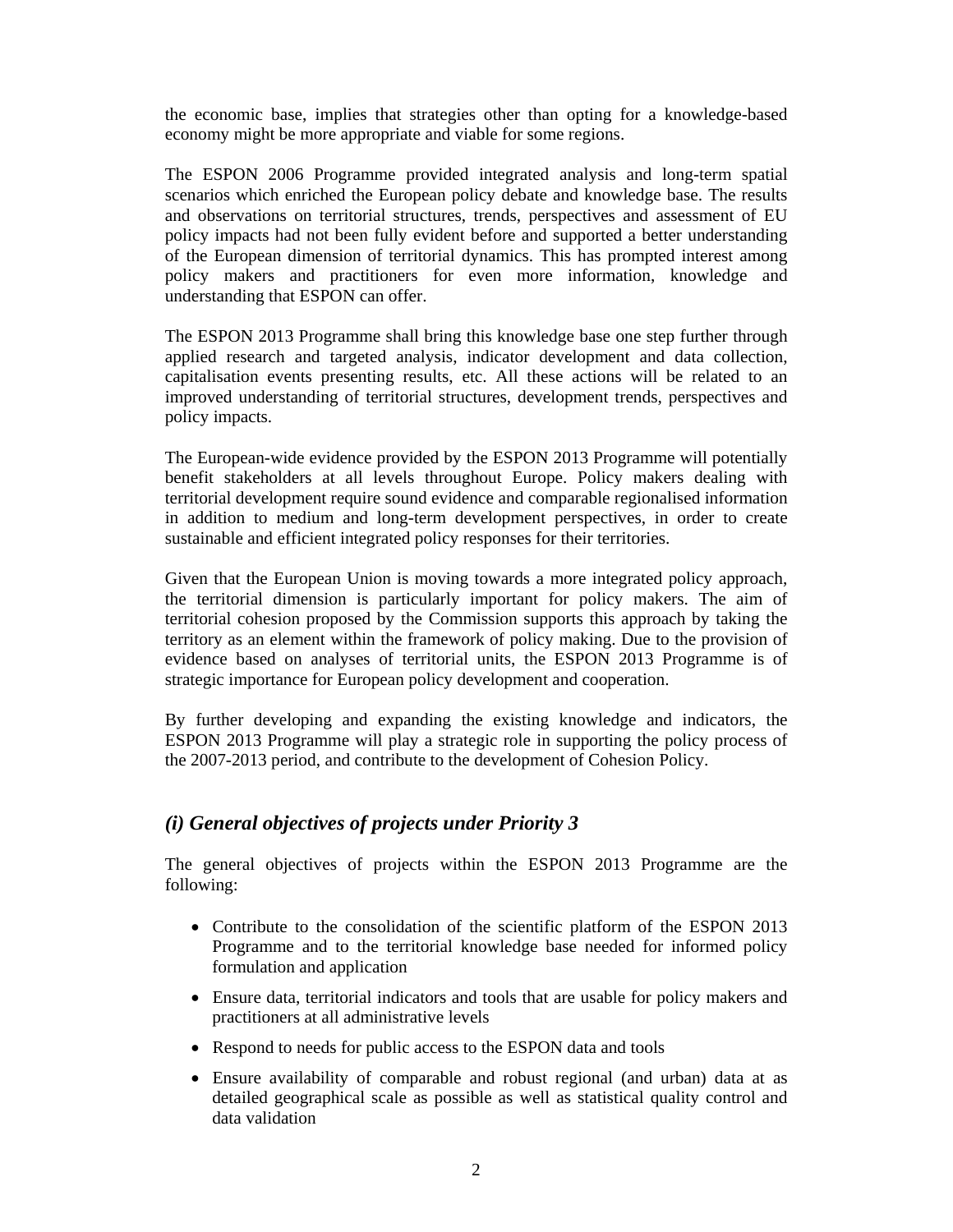the economic base, implies that strategies other than opting for a knowledge-based economy might be more appropriate and viable for some regions.

The ESPON 2006 Programme provided integrated analysis and long-term spatial scenarios which enriched the European policy debate and knowledge base. The results and observations on territorial structures, trends, perspectives and assessment of EU policy impacts had not been fully evident before and supported a better understanding of the European dimension of territorial dynamics. This has prompted interest among policy makers and practitioners for even more information, knowledge and understanding that ESPON can offer.

The ESPON 2013 Programme shall bring this knowledge base one step further through applied research and targeted analysis, indicator development and data collection, capitalisation events presenting results, etc. All these actions will be related to an improved understanding of territorial structures, development trends, perspectives and policy impacts.

The European-wide evidence provided by the ESPON 2013 Programme will potentially benefit stakeholders at all levels throughout Europe. Policy makers dealing with territorial development require sound evidence and comparable regionalised information in addition to medium and long-term development perspectives, in order to create sustainable and efficient integrated policy responses for their territories.

Given that the European Union is moving towards a more integrated policy approach, the territorial dimension is particularly important for policy makers. The aim of territorial cohesion proposed by the Commission supports this approach by taking the territory as an element within the framework of policy making. Due to the provision of evidence based on analyses of territorial units, the ESPON 2013 Programme is of strategic importance for European policy development and cooperation.

By further developing and expanding the existing knowledge and indicators, the ESPON 2013 Programme will play a strategic role in supporting the policy process of the 2007-2013 period, and contribute to the development of Cohesion Policy.

### *(i) General objectives of projects under Priority 3*

The general objectives of projects within the ESPON 2013 Programme are the following:

- Contribute to the consolidation of the scientific platform of the ESPON 2013 Programme and to the territorial knowledge base needed for informed policy formulation and application
- Ensure data, territorial indicators and tools that are usable for policy makers and practitioners at all administrative levels
- Respond to needs for public access to the ESPON data and tools
- Ensure availability of comparable and robust regional (and urban) data at as detailed geographical scale as possible as well as statistical quality control and data validation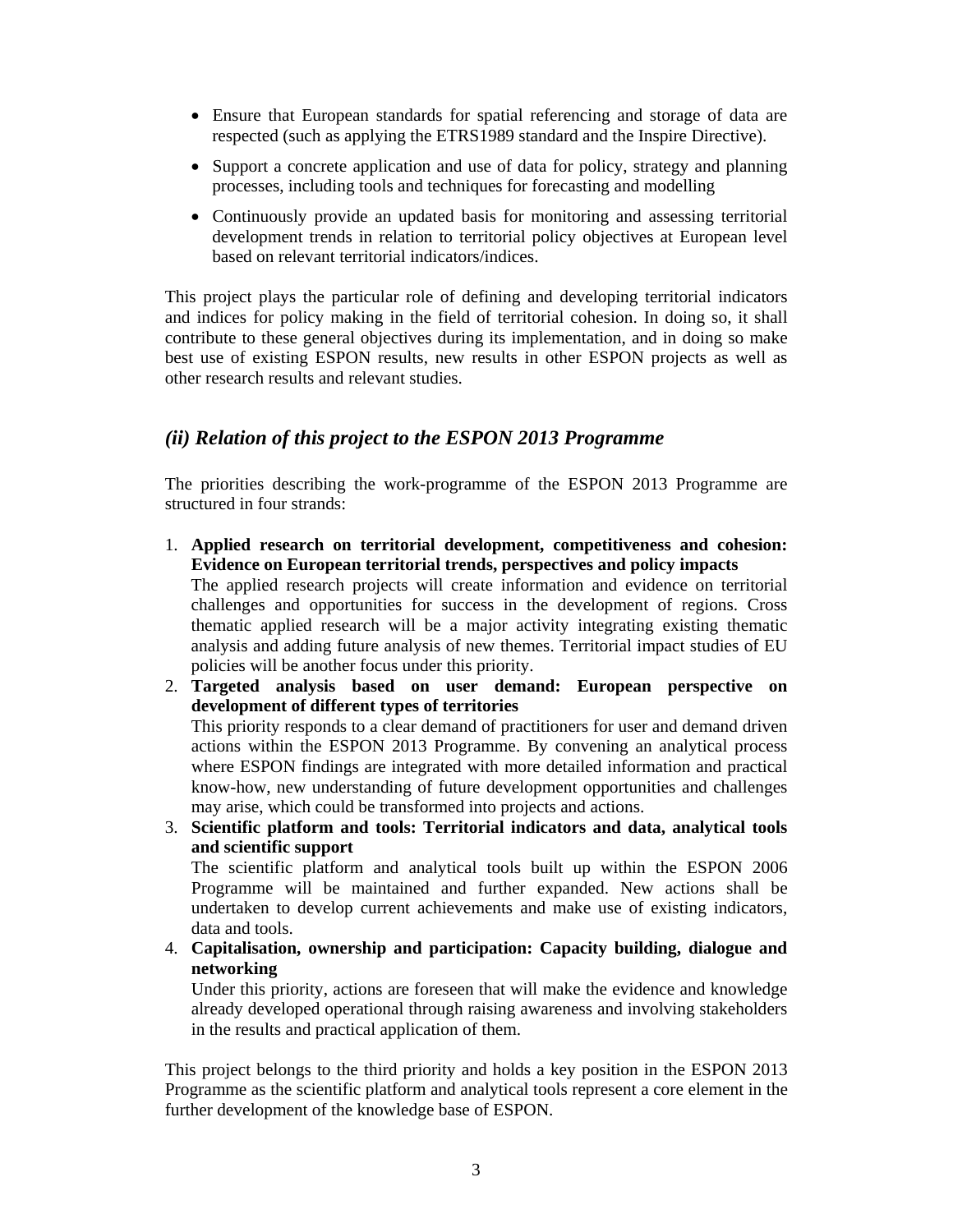- Ensure that European standards for spatial referencing and storage of data are respected (such as applying the ETRS1989 standard and the Inspire Directive).
- Support a concrete application and use of data for policy, strategy and planning processes, including tools and techniques for forecasting and modelling
- Continuously provide an updated basis for monitoring and assessing territorial development trends in relation to territorial policy objectives at European level based on relevant territorial indicators/indices.

This project plays the particular role of defining and developing territorial indicators and indices for policy making in the field of territorial cohesion. In doing so, it shall contribute to these general objectives during its implementation, and in doing so make best use of existing ESPON results, new results in other ESPON projects as well as other research results and relevant studies.

#### *(ii) Relation of this project to the ESPON 2013 Programme*

The priorities describing the work-programme of the ESPON 2013 Programme are structured in four strands:

- 1. **Applied research on territorial development, competitiveness and cohesion: Evidence on European territorial trends, perspectives and policy impacts** The applied research projects will create information and evidence on territorial challenges and opportunities for success in the development of regions. Cross thematic applied research will be a major activity integrating existing thematic analysis and adding future analysis of new themes. Territorial impact studies of EU policies will be another focus under this priority.
- 2. **Targeted analysis based on user demand: European perspective on development of different types of territories**

This priority responds to a clear demand of practitioners for user and demand driven actions within the ESPON 2013 Programme. By convening an analytical process where ESPON findings are integrated with more detailed information and practical know-how, new understanding of future development opportunities and challenges may arise, which could be transformed into projects and actions.

3. **Scientific platform and tools: Territorial indicators and data, analytical tools and scientific support** 

The scientific platform and analytical tools built up within the ESPON 2006 Programme will be maintained and further expanded. New actions shall be undertaken to develop current achievements and make use of existing indicators, data and tools.

4. **Capitalisation, ownership and participation: Capacity building, dialogue and networking** 

Under this priority, actions are foreseen that will make the evidence and knowledge already developed operational through raising awareness and involving stakeholders in the results and practical application of them.

This project belongs to the third priority and holds a key position in the ESPON 2013 Programme as the scientific platform and analytical tools represent a core element in the further development of the knowledge base of ESPON.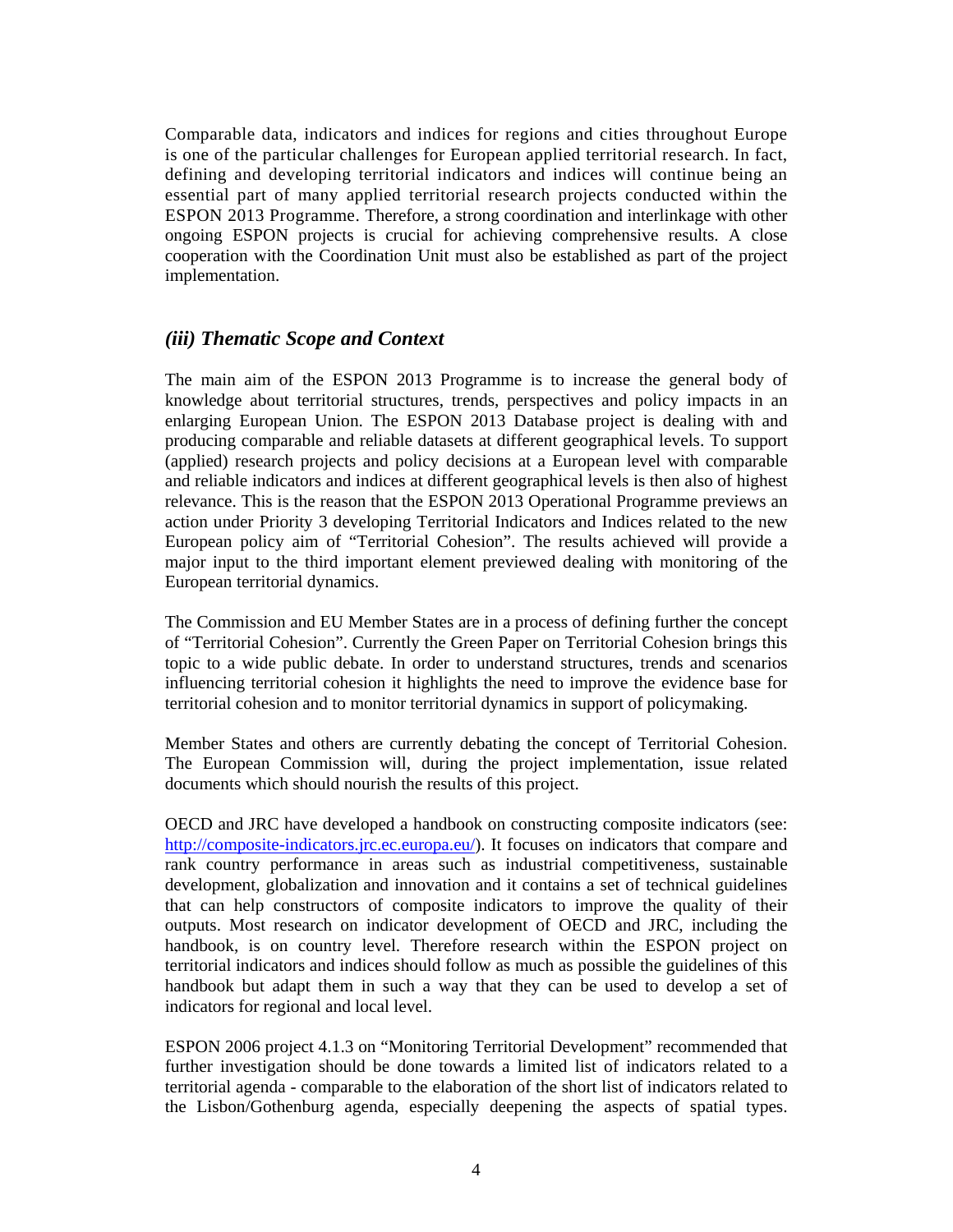Comparable data, indicators and indices for regions and cities throughout Europe is one of the particular challenges for European applied territorial research. In fact, defining and developing territorial indicators and indices will continue being an essential part of many applied territorial research projects conducted within the ESPON 2013 Programme. Therefore, a strong coordination and interlinkage with other ongoing ESPON projects is crucial for achieving comprehensive results. A close cooperation with the Coordination Unit must also be established as part of the project implementation.

#### *(iii) Thematic Scope and Context*

The main aim of the ESPON 2013 Programme is to increase the general body of knowledge about territorial structures, trends, perspectives and policy impacts in an enlarging European Union. The ESPON 2013 Database project is dealing with and producing comparable and reliable datasets at different geographical levels. To support (applied) research projects and policy decisions at a European level with comparable and reliable indicators and indices at different geographical levels is then also of highest relevance. This is the reason that the ESPON 2013 Operational Programme previews an action under Priority 3 developing Territorial Indicators and Indices related to the new European policy aim of "Territorial Cohesion". The results achieved will provide a major input to the third important element previewed dealing with monitoring of the European territorial dynamics.

The Commission and EU Member States are in a process of defining further the concept of "Territorial Cohesion". Currently the Green Paper on Territorial Cohesion brings this topic to a wide public debate. In order to understand structures, trends and scenarios influencing territorial cohesion it highlights the need to improve the evidence base for territorial cohesion and to monitor territorial dynamics in support of policymaking.

Member States and others are currently debating the concept of Territorial Cohesion. The European Commission will, during the project implementation, issue related documents which should nourish the results of this project.

OECD and JRC have developed a handbook on constructing composite indicators (see: http://composite-indicators.jrc.ec.europa.eu/). It focuses on indicators that compare and rank country performance in areas such as industrial competitiveness, sustainable development, globalization and innovation and it contains a set of technical guidelines that can help constructors of composite indicators to improve the quality of their outputs. Most research on indicator development of OECD and JRC, including the handbook, is on country level. Therefore research within the ESPON project on territorial indicators and indices should follow as much as possible the guidelines of this handbook but adapt them in such a way that they can be used to develop a set of indicators for regional and local level.

ESPON 2006 project 4.1.3 on "Monitoring Territorial Development" recommended that further investigation should be done towards a limited list of indicators related to a territorial agenda - comparable to the elaboration of the short list of indicators related to the Lisbon/Gothenburg agenda, especially deepening the aspects of spatial types.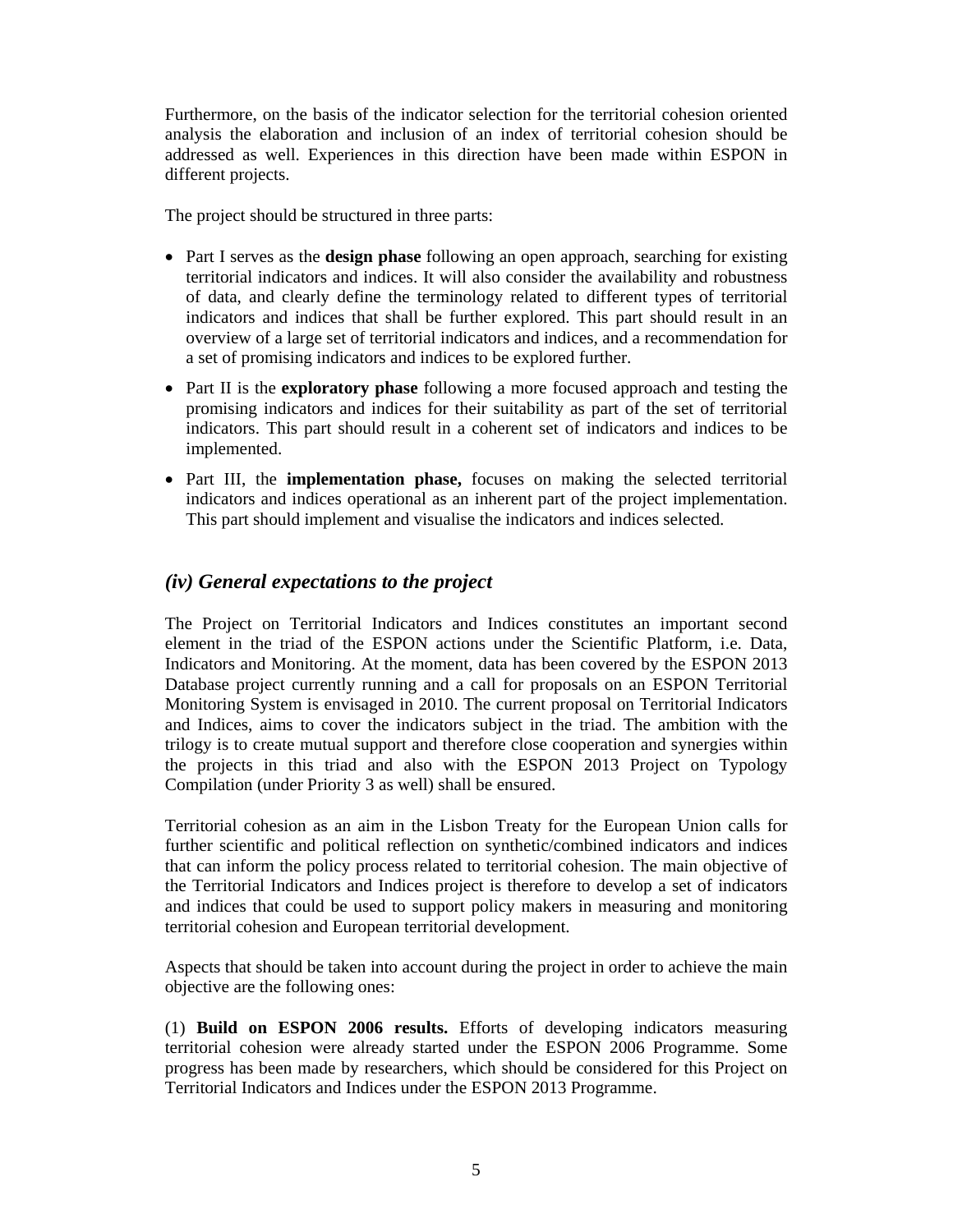Furthermore, on the basis of the indicator selection for the territorial cohesion oriented analysis the elaboration and inclusion of an index of territorial cohesion should be addressed as well. Experiences in this direction have been made within ESPON in different projects.

The project should be structured in three parts:

- Part I serves as the **design phase** following an open approach, searching for existing territorial indicators and indices. It will also consider the availability and robustness of data, and clearly define the terminology related to different types of territorial indicators and indices that shall be further explored. This part should result in an overview of a large set of territorial indicators and indices, and a recommendation for a set of promising indicators and indices to be explored further.
- Part II is the **exploratory phase** following a more focused approach and testing the promising indicators and indices for their suitability as part of the set of territorial indicators. This part should result in a coherent set of indicators and indices to be implemented.
- Part III, the **implementation phase,** focuses on making the selected territorial indicators and indices operational as an inherent part of the project implementation. This part should implement and visualise the indicators and indices selected.

# *(iv) General expectations to the project*

The Project on Territorial Indicators and Indices constitutes an important second element in the triad of the ESPON actions under the Scientific Platform, i.e. Data, Indicators and Monitoring. At the moment, data has been covered by the ESPON 2013 Database project currently running and a call for proposals on an ESPON Territorial Monitoring System is envisaged in 2010. The current proposal on Territorial Indicators and Indices, aims to cover the indicators subject in the triad. The ambition with the trilogy is to create mutual support and therefore close cooperation and synergies within the projects in this triad and also with the ESPON 2013 Project on Typology Compilation (under Priority 3 as well) shall be ensured.

Territorial cohesion as an aim in the Lisbon Treaty for the European Union calls for further scientific and political reflection on synthetic/combined indicators and indices that can inform the policy process related to territorial cohesion. The main objective of the Territorial Indicators and Indices project is therefore to develop a set of indicators and indices that could be used to support policy makers in measuring and monitoring territorial cohesion and European territorial development.

Aspects that should be taken into account during the project in order to achieve the main objective are the following ones:

(1) **Build on ESPON 2006 results.** Efforts of developing indicators measuring territorial cohesion were already started under the ESPON 2006 Programme. Some progress has been made by researchers, which should be considered for this Project on Territorial Indicators and Indices under the ESPON 2013 Programme.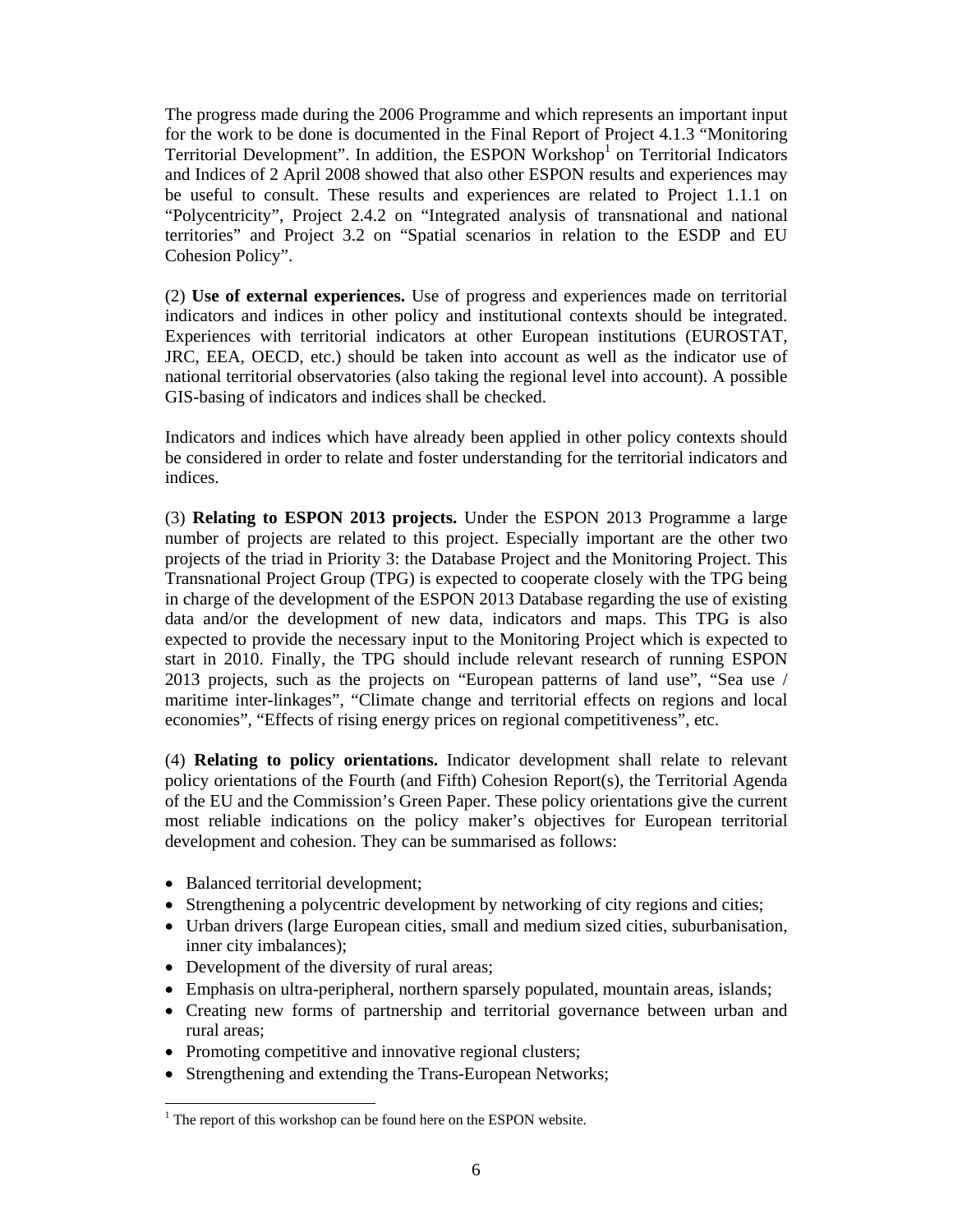The progress made during the 2006 Programme and which represents an important input for the work to be done is documented in the Final Report of Project 4.1.3 "Monitoring Territorial Development". In addition, the ESPON Workshop<sup>1</sup> on Territorial Indicators and Indices of 2 April 2008 showed that also other ESPON results and experiences may be useful to consult. These results and experiences are related to Project 1.1.1 on "Polycentricity", Project 2.4.2 on "Integrated analysis of transnational and national territories" and Project 3.2 on "Spatial scenarios in relation to the ESDP and EU Cohesion Policy".

(2) **Use of external experiences.** Use of progress and experiences made on territorial indicators and indices in other policy and institutional contexts should be integrated. Experiences with territorial indicators at other European institutions (EUROSTAT, JRC, EEA, OECD, etc.) should be taken into account as well as the indicator use of national territorial observatories (also taking the regional level into account). A possible GIS-basing of indicators and indices shall be checked.

Indicators and indices which have already been applied in other policy contexts should be considered in order to relate and foster understanding for the territorial indicators and indices.

(3) **Relating to ESPON 2013 projects.** Under the ESPON 2013 Programme a large number of projects are related to this project. Especially important are the other two projects of the triad in Priority 3: the Database Project and the Monitoring Project. This Transnational Project Group (TPG) is expected to cooperate closely with the TPG being in charge of the development of the ESPON 2013 Database regarding the use of existing data and/or the development of new data, indicators and maps. This TPG is also expected to provide the necessary input to the Monitoring Project which is expected to start in 2010. Finally, the TPG should include relevant research of running ESPON 2013 projects, such as the projects on "European patterns of land use", "Sea use / maritime inter-linkages", "Climate change and territorial effects on regions and local economies", "Effects of rising energy prices on regional competitiveness", etc.

(4) **Relating to policy orientations.** Indicator development shall relate to relevant policy orientations of the Fourth (and Fifth) Cohesion Report(s), the Territorial Agenda of the EU and the Commission's Green Paper. These policy orientations give the current most reliable indications on the policy maker's objectives for European territorial development and cohesion. They can be summarised as follows:

• Balanced territorial development;

 $\overline{a}$ 

- Strengthening a polycentric development by networking of city regions and cities;
- Urban drivers (large European cities, small and medium sized cities, suburbanisation, inner city imbalances);
- Development of the diversity of rural areas;
- Emphasis on ultra-peripheral, northern sparsely populated, mountain areas, islands;
- Creating new forms of partnership and territorial governance between urban and rural areas;
- Promoting competitive and innovative regional clusters;
- Strengthening and extending the Trans-European Networks;

 $1$ <sup>1</sup> The report of this workshop can be found here on the ESPON website.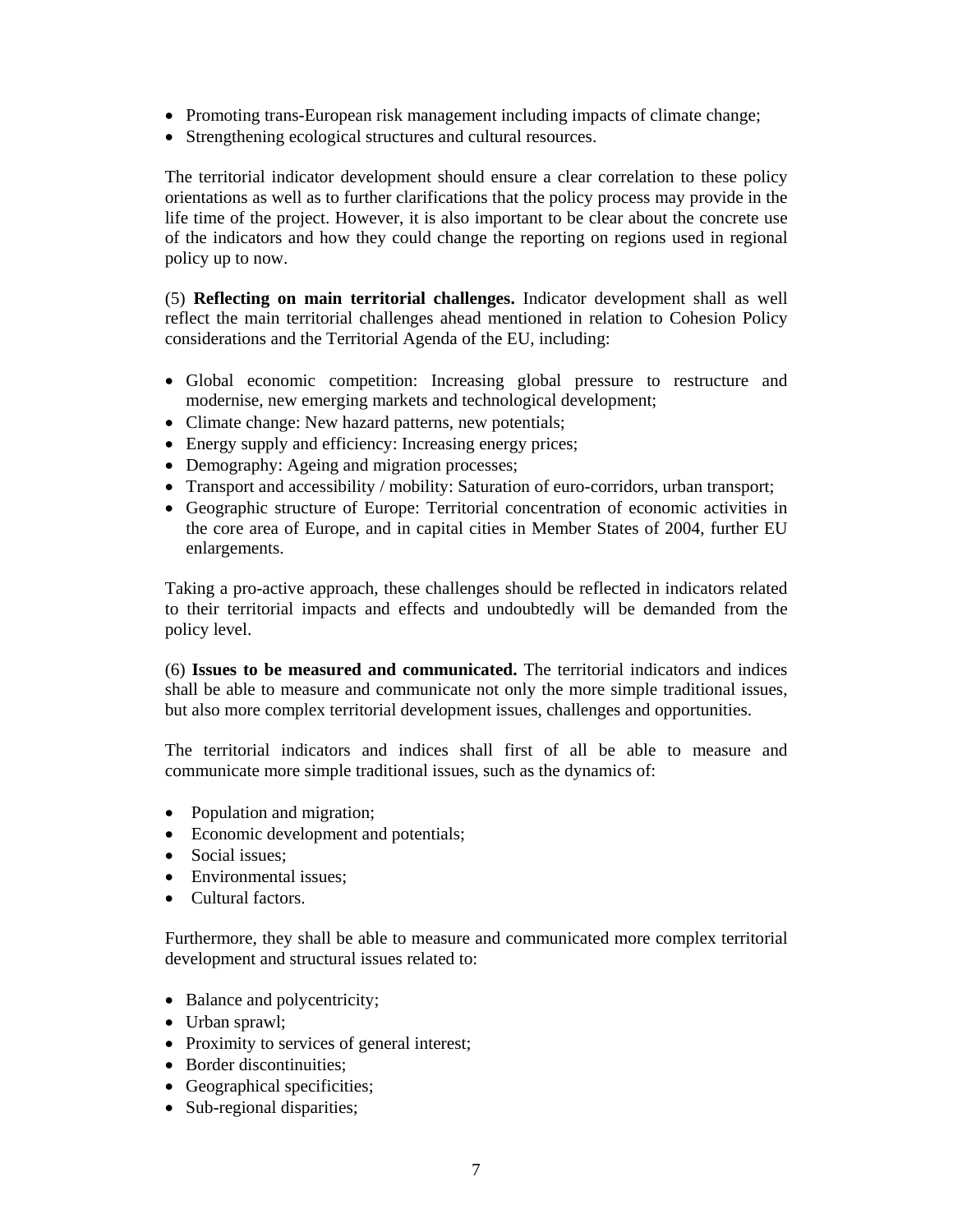- Promoting trans-European risk management including impacts of climate change;
- Strengthening ecological structures and cultural resources.

The territorial indicator development should ensure a clear correlation to these policy orientations as well as to further clarifications that the policy process may provide in the life time of the project. However, it is also important to be clear about the concrete use of the indicators and how they could change the reporting on regions used in regional policy up to now.

(5) **Reflecting on main territorial challenges.** Indicator development shall as well reflect the main territorial challenges ahead mentioned in relation to Cohesion Policy considerations and the Territorial Agenda of the EU, including:

- Global economic competition: Increasing global pressure to restructure and modernise, new emerging markets and technological development;
- Climate change: New hazard patterns, new potentials;
- Energy supply and efficiency: Increasing energy prices;
- Demography: Ageing and migration processes;
- Transport and accessibility / mobility: Saturation of euro-corridors, urban transport;
- Geographic structure of Europe: Territorial concentration of economic activities in the core area of Europe, and in capital cities in Member States of 2004, further EU enlargements.

Taking a pro-active approach, these challenges should be reflected in indicators related to their territorial impacts and effects and undoubtedly will be demanded from the policy level.

(6) **Issues to be measured and communicated.** The territorial indicators and indices shall be able to measure and communicate not only the more simple traditional issues, but also more complex territorial development issues, challenges and opportunities.

The territorial indicators and indices shall first of all be able to measure and communicate more simple traditional issues, such as the dynamics of:

- Population and migration;
- Economic development and potentials;
- Social issues:
- Environmental issues;
- Cultural factors.

Furthermore, they shall be able to measure and communicated more complex territorial development and structural issues related to:

- Balance and polycentricity;
- Urban sprawl;
- Proximity to services of general interest;
- Border discontinuities;
- Geographical specificities;
- Sub-regional disparities;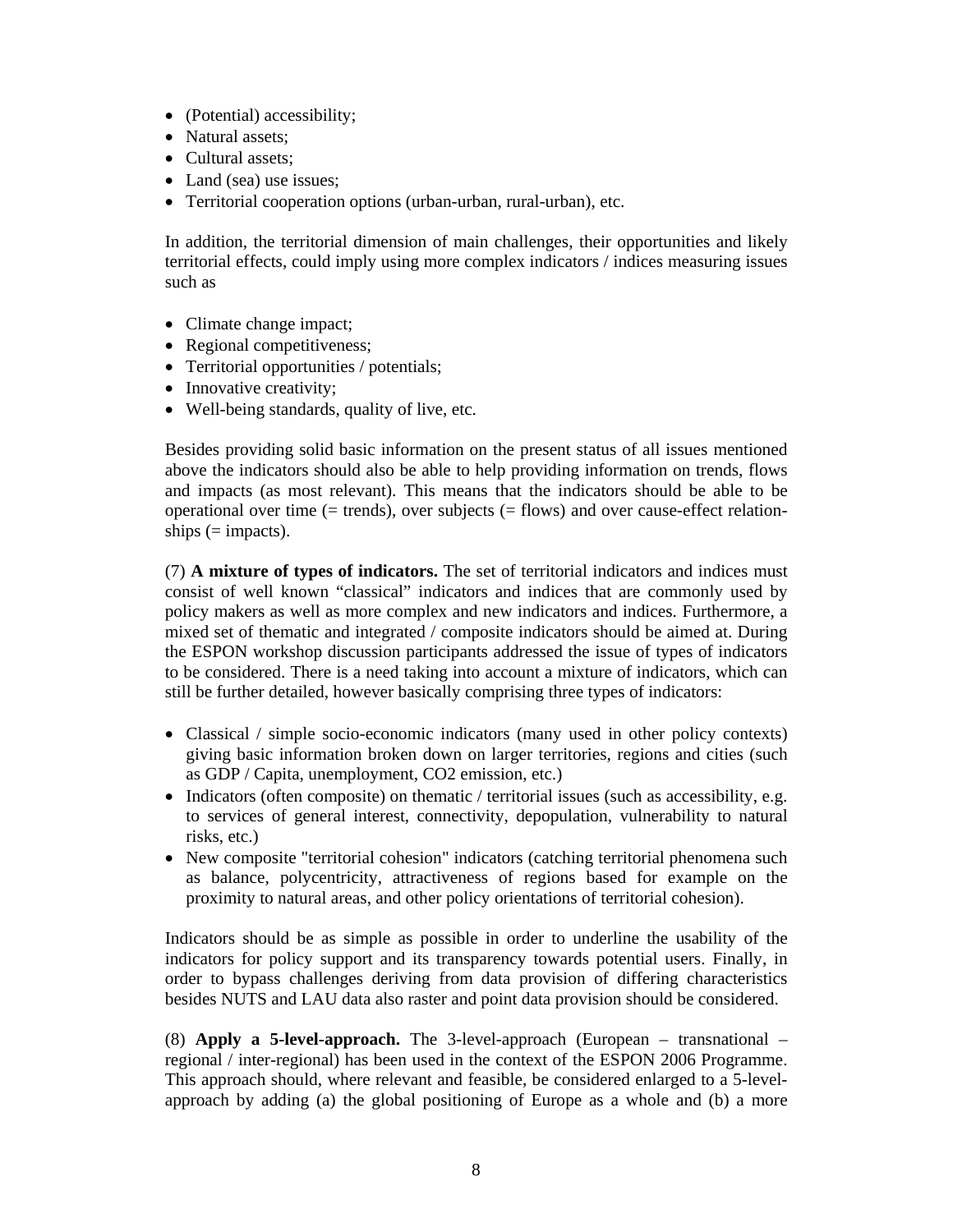- (Potential) accessibility;
- Natural assets:
- Cultural assets;
- Land (sea) use issues;
- Territorial cooperation options (urban-urban, rural-urban), etc.

In addition, the territorial dimension of main challenges, their opportunities and likely territorial effects, could imply using more complex indicators / indices measuring issues such as

- Climate change impact;
- Regional competitiveness;
- Territorial opportunities / potentials;
- Innovative creativity;
- Well-being standards, quality of live, etc.

Besides providing solid basic information on the present status of all issues mentioned above the indicators should also be able to help providing information on trends, flows and impacts (as most relevant). This means that the indicators should be able to be operational over time (= trends), over subjects (= flows) and over cause-effect relationships  $(=$  impacts).

(7) **A mixture of types of indicators.** The set of territorial indicators and indices must consist of well known "classical" indicators and indices that are commonly used by policy makers as well as more complex and new indicators and indices. Furthermore, a mixed set of thematic and integrated / composite indicators should be aimed at. During the ESPON workshop discussion participants addressed the issue of types of indicators to be considered. There is a need taking into account a mixture of indicators, which can still be further detailed, however basically comprising three types of indicators:

- Classical / simple socio-economic indicators (many used in other policy contexts) giving basic information broken down on larger territories, regions and cities (such as GDP / Capita, unemployment, CO2 emission, etc.)
- Indicators (often composite) on thematic / territorial issues (such as accessibility, e.g. to services of general interest, connectivity, depopulation, vulnerability to natural risks, etc.)
- New composite "territorial cohesion" indicators (catching territorial phenomena such as balance, polycentricity, attractiveness of regions based for example on the proximity to natural areas, and other policy orientations of territorial cohesion).

Indicators should be as simple as possible in order to underline the usability of the indicators for policy support and its transparency towards potential users. Finally, in order to bypass challenges deriving from data provision of differing characteristics besides NUTS and LAU data also raster and point data provision should be considered.

(8) **Apply a 5-level-approach.** The 3-level-approach (European – transnational – regional / inter-regional) has been used in the context of the ESPON 2006 Programme. This approach should, where relevant and feasible, be considered enlarged to a 5-levelapproach by adding (a) the global positioning of Europe as a whole and (b) a more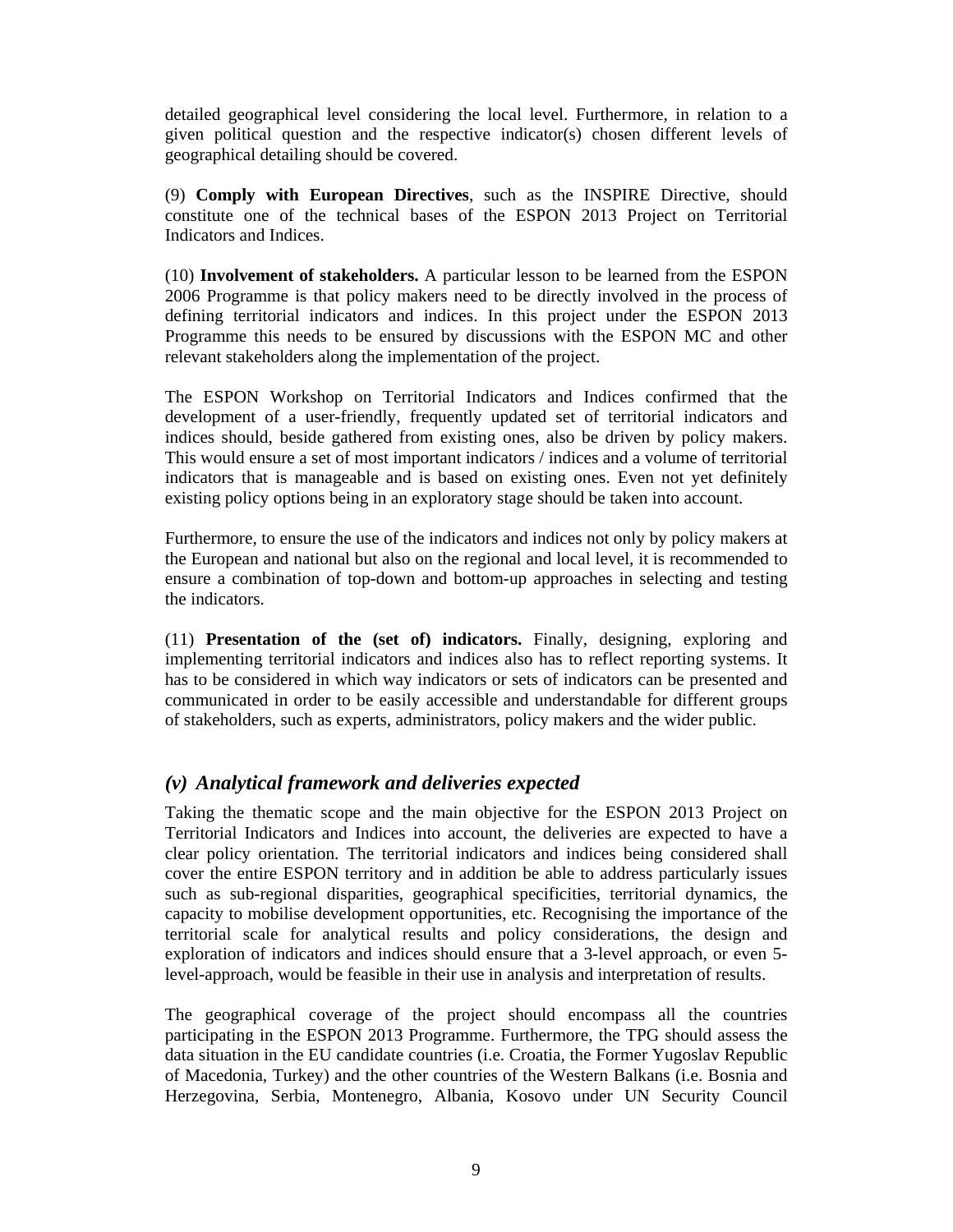detailed geographical level considering the local level. Furthermore, in relation to a given political question and the respective indicator(s) chosen different levels of geographical detailing should be covered.

(9) **Comply with European Directives**, such as the INSPIRE Directive, should constitute one of the technical bases of the ESPON 2013 Project on Territorial Indicators and Indices.

(10) **Involvement of stakeholders.** A particular lesson to be learned from the ESPON 2006 Programme is that policy makers need to be directly involved in the process of defining territorial indicators and indices. In this project under the ESPON 2013 Programme this needs to be ensured by discussions with the ESPON MC and other relevant stakeholders along the implementation of the project.

The ESPON Workshop on Territorial Indicators and Indices confirmed that the development of a user-friendly, frequently updated set of territorial indicators and indices should, beside gathered from existing ones, also be driven by policy makers. This would ensure a set of most important indicators / indices and a volume of territorial indicators that is manageable and is based on existing ones. Even not yet definitely existing policy options being in an exploratory stage should be taken into account.

Furthermore, to ensure the use of the indicators and indices not only by policy makers at the European and national but also on the regional and local level, it is recommended to ensure a combination of top-down and bottom-up approaches in selecting and testing the indicators.

(11) **Presentation of the (set of) indicators.** Finally, designing, exploring and implementing territorial indicators and indices also has to reflect reporting systems. It has to be considered in which way indicators or sets of indicators can be presented and communicated in order to be easily accessible and understandable for different groups of stakeholders, such as experts, administrators, policy makers and the wider public.

### *(v) Analytical framework and deliveries expected*

Taking the thematic scope and the main objective for the ESPON 2013 Project on Territorial Indicators and Indices into account, the deliveries are expected to have a clear policy orientation. The territorial indicators and indices being considered shall cover the entire ESPON territory and in addition be able to address particularly issues such as sub-regional disparities, geographical specificities, territorial dynamics, the capacity to mobilise development opportunities, etc. Recognising the importance of the territorial scale for analytical results and policy considerations, the design and exploration of indicators and indices should ensure that a 3-level approach, or even 5 level-approach, would be feasible in their use in analysis and interpretation of results.

The geographical coverage of the project should encompass all the countries participating in the ESPON 2013 Programme. Furthermore, the TPG should assess the data situation in the EU candidate countries (i.e. Croatia, the Former Yugoslav Republic of Macedonia, Turkey) and the other countries of the Western Balkans (i.e. Bosnia and Herzegovina, Serbia, Montenegro, Albania, Kosovo under UN Security Council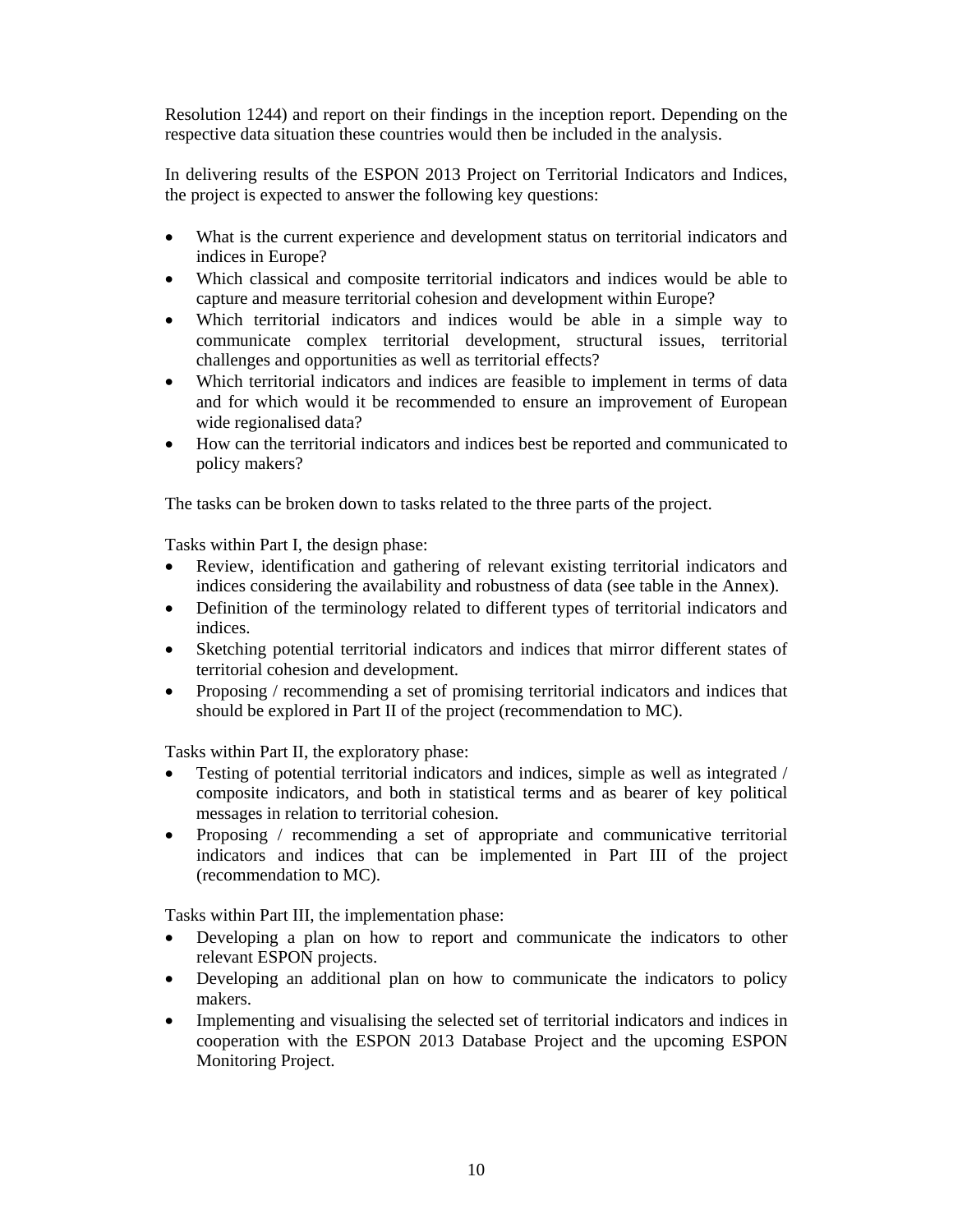Resolution 1244) and report on their findings in the inception report. Depending on the respective data situation these countries would then be included in the analysis.

In delivering results of the ESPON 2013 Project on Territorial Indicators and Indices, the project is expected to answer the following key questions:

- What is the current experience and development status on territorial indicators and indices in Europe?
- Which classical and composite territorial indicators and indices would be able to capture and measure territorial cohesion and development within Europe?
- Which territorial indicators and indices would be able in a simple way to communicate complex territorial development, structural issues, territorial challenges and opportunities as well as territorial effects?
- Which territorial indicators and indices are feasible to implement in terms of data and for which would it be recommended to ensure an improvement of European wide regionalised data?
- How can the territorial indicators and indices best be reported and communicated to policy makers?

The tasks can be broken down to tasks related to the three parts of the project.

Tasks within Part I, the design phase:

- Review, identification and gathering of relevant existing territorial indicators and indices considering the availability and robustness of data (see table in the Annex).
- Definition of the terminology related to different types of territorial indicators and indices.
- Sketching potential territorial indicators and indices that mirror different states of territorial cohesion and development.
- Proposing / recommending a set of promising territorial indicators and indices that should be explored in Part II of the project (recommendation to MC).

Tasks within Part II, the exploratory phase:

- Testing of potential territorial indicators and indices, simple as well as integrated / composite indicators, and both in statistical terms and as bearer of key political messages in relation to territorial cohesion.
- Proposing / recommending a set of appropriate and communicative territorial indicators and indices that can be implemented in Part III of the project (recommendation to MC).

Tasks within Part III, the implementation phase:

- Developing a plan on how to report and communicate the indicators to other relevant ESPON projects.
- Developing an additional plan on how to communicate the indicators to policy makers.
- Implementing and visualising the selected set of territorial indicators and indices in cooperation with the ESPON 2013 Database Project and the upcoming ESPON Monitoring Project.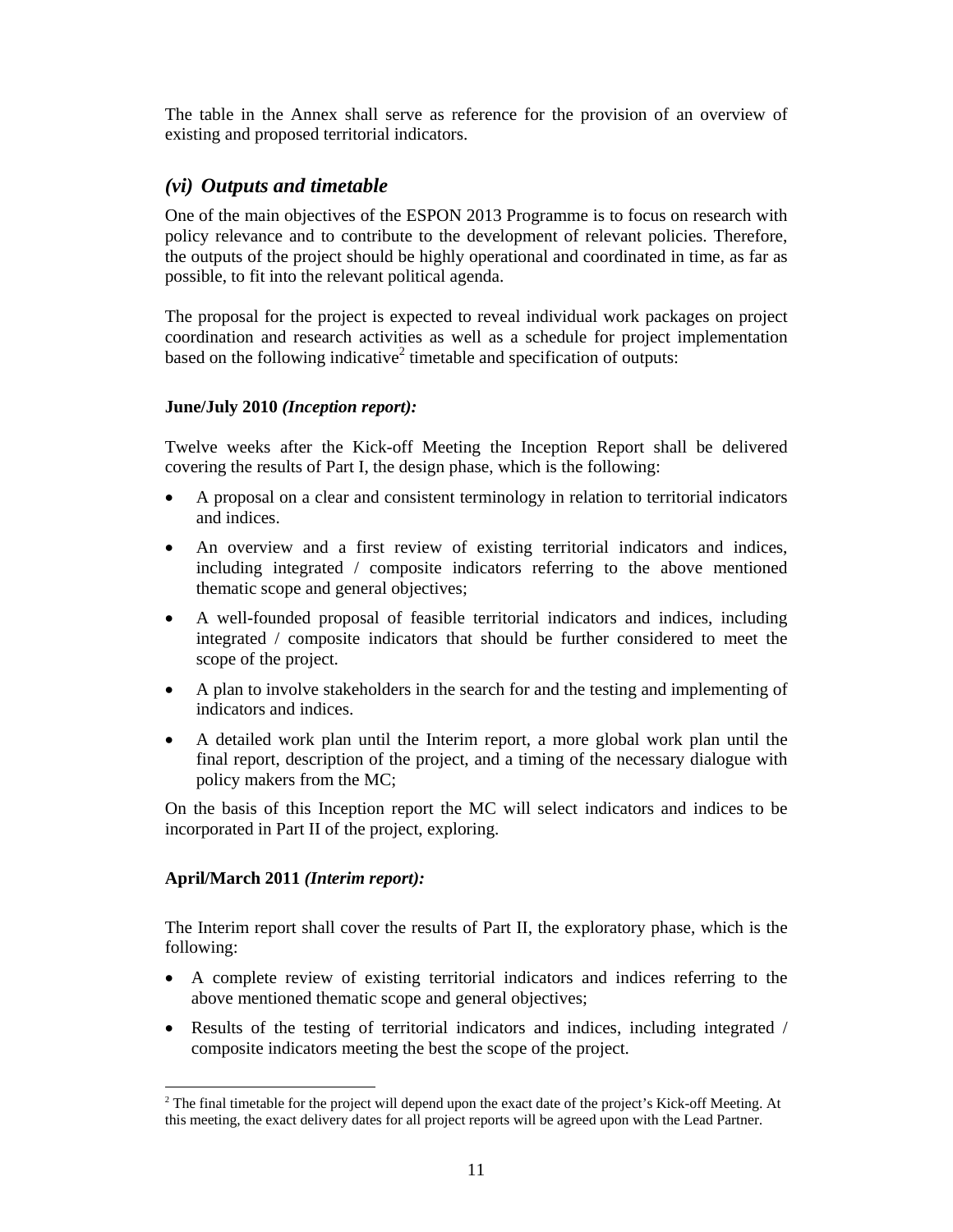The table in the Annex shall serve as reference for the provision of an overview of existing and proposed territorial indicators.

# *(vi) Outputs and timetable*

One of the main objectives of the ESPON 2013 Programme is to focus on research with policy relevance and to contribute to the development of relevant policies. Therefore, the outputs of the project should be highly operational and coordinated in time, as far as possible, to fit into the relevant political agenda.

The proposal for the project is expected to reveal individual work packages on project coordination and research activities as well as a schedule for project implementation based on the following indicative<sup>2</sup> timetable and specification of outputs:

#### **June/July 2010** *(Inception report):*

Twelve weeks after the Kick-off Meeting the Inception Report shall be delivered covering the results of Part I, the design phase, which is the following:

- A proposal on a clear and consistent terminology in relation to territorial indicators and indices.
- An overview and a first review of existing territorial indicators and indices, including integrated / composite indicators referring to the above mentioned thematic scope and general objectives;
- A well-founded proposal of feasible territorial indicators and indices, including integrated / composite indicators that should be further considered to meet the scope of the project.
- A plan to involve stakeholders in the search for and the testing and implementing of indicators and indices.
- A detailed work plan until the Interim report, a more global work plan until the final report, description of the project, and a timing of the necessary dialogue with policy makers from the MC;

On the basis of this Inception report the MC will select indicators and indices to be incorporated in Part II of the project, exploring.

#### **April/March 2011** *(Interim report):*

The Interim report shall cover the results of Part II, the exploratory phase, which is the following:

- A complete review of existing territorial indicators and indices referring to the above mentioned thematic scope and general objectives;
- Results of the testing of territorial indicators and indices, including integrated / composite indicators meeting the best the scope of the project.

 $\overline{a}$ <sup>2</sup> The final timetable for the project will depend upon the exact date of the project's Kick-off Meeting. At this meeting, the exact delivery dates for all project reports will be agreed upon with the Lead Partner.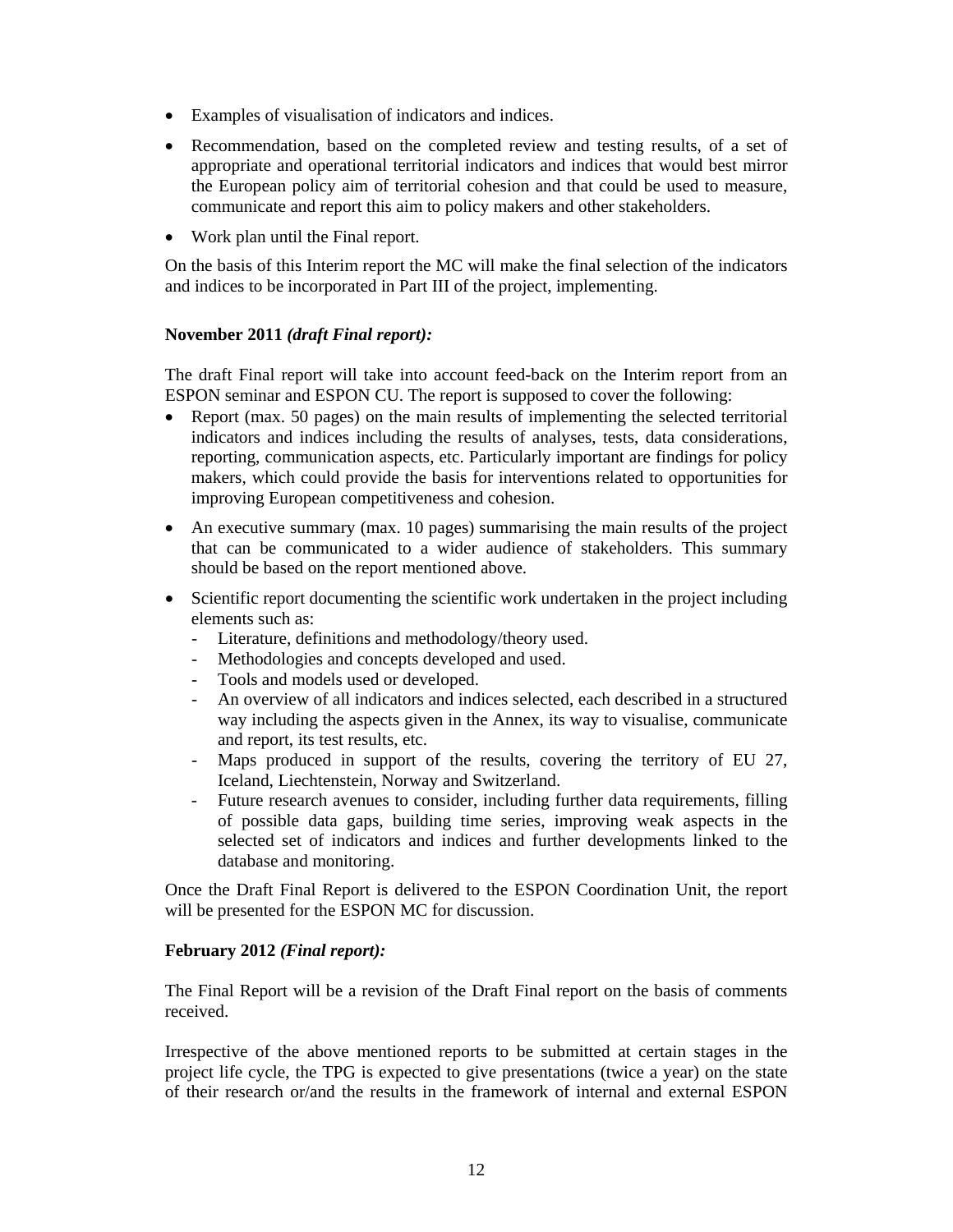- Examples of visualisation of indicators and indices.
- Recommendation, based on the completed review and testing results, of a set of appropriate and operational territorial indicators and indices that would best mirror the European policy aim of territorial cohesion and that could be used to measure, communicate and report this aim to policy makers and other stakeholders.
- Work plan until the Final report.

On the basis of this Interim report the MC will make the final selection of the indicators and indices to be incorporated in Part III of the project, implementing.

#### **November 2011** *(draft Final report):*

The draft Final report will take into account feed-back on the Interim report from an ESPON seminar and ESPON CU. The report is supposed to cover the following:

- Report (max. 50 pages) on the main results of implementing the selected territorial indicators and indices including the results of analyses, tests, data considerations, reporting, communication aspects, etc. Particularly important are findings for policy makers, which could provide the basis for interventions related to opportunities for improving European competitiveness and cohesion.
- An executive summary (max. 10 pages) summarising the main results of the project that can be communicated to a wider audience of stakeholders. This summary should be based on the report mentioned above.
- Scientific report documenting the scientific work undertaken in the project including elements such as:
	- Literature, definitions and methodology/theory used.
	- Methodologies and concepts developed and used.
	- Tools and models used or developed.
	- An overview of all indicators and indices selected, each described in a structured way including the aspects given in the Annex, its way to visualise, communicate and report, its test results, etc.
	- Maps produced in support of the results, covering the territory of EU 27, Iceland, Liechtenstein, Norway and Switzerland.
	- Future research avenues to consider, including further data requirements, filling of possible data gaps, building time series, improving weak aspects in the selected set of indicators and indices and further developments linked to the database and monitoring.

Once the Draft Final Report is delivered to the ESPON Coordination Unit, the report will be presented for the ESPON MC for discussion.

#### **February 2012** *(Final report):*

The Final Report will be a revision of the Draft Final report on the basis of comments received.

Irrespective of the above mentioned reports to be submitted at certain stages in the project life cycle, the TPG is expected to give presentations (twice a year) on the state of their research or/and the results in the framework of internal and external ESPON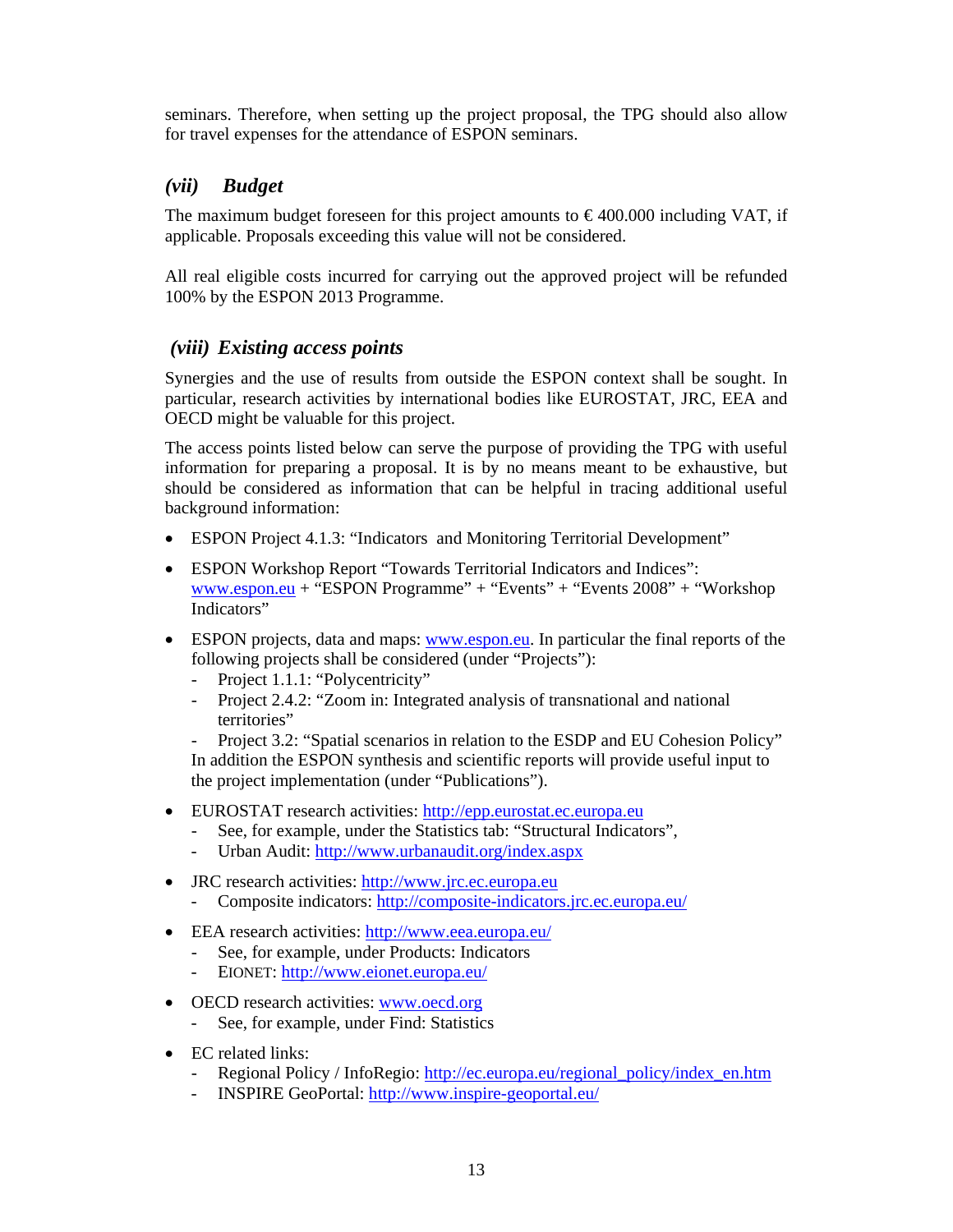seminars. Therefore, when setting up the project proposal, the TPG should also allow for travel expenses for the attendance of ESPON seminars.

# *(vii) Budget*

The maximum budget foreseen for this project amounts to  $\epsilon$ 400.000 including VAT, if applicable. Proposals exceeding this value will not be considered.

All real eligible costs incurred for carrying out the approved project will be refunded 100% by the ESPON 2013 Programme.

# *(viii) Existing access points*

Synergies and the use of results from outside the ESPON context shall be sought. In particular, research activities by international bodies like EUROSTAT, JRC, EEA and OECD might be valuable for this project.

The access points listed below can serve the purpose of providing the TPG with useful information for preparing a proposal. It is by no means meant to be exhaustive, but should be considered as information that can be helpful in tracing additional useful background information:

- ESPON Project 4.1.3: "Indicators and Monitoring Territorial Development"
- ESPON Workshop Report "Towards Territorial Indicators and Indices": www.espon.eu + "ESPON Programme" + "Events" + "Events 2008" + "Workshop Indicators"
- ESPON projects, data and maps: www.espon.eu. In particular the final reports of the following projects shall be considered (under "Projects"):
	- Project 1.1.1: "Polycentricity"
	- Project 2.4.2: "Zoom in: Integrated analysis of transnational and national territories"

- Project 3.2: "Spatial scenarios in relation to the ESDP and EU Cohesion Policy" In addition the ESPON synthesis and scientific reports will provide useful input to the project implementation (under "Publications").

- EUROSTAT research activities: http://epp.eurostat.ec.europa.eu
	- See, for example, under the Statistics tab: "Structural Indicators",
	- Urban Audit: http://www.urbanaudit.org/index.aspx
- JRC research activities: http://www.jrc.ec.europa.eu
	- Composite indicators: http://composite-indicators.jrc.ec.europa.eu/
- EEA research activities: http://www.eea.europa.eu/
	- See, for example, under Products: Indicators
	- EIONET: http://www.eionet.europa.eu/
- OECD research activities: www.oecd.org
	- See, for example, under Find: Statistics
- EC related links:
	- Regional Policy / InfoRegio: http://ec.europa.eu/regional\_policy/index\_en.htm
	- INSPIRE GeoPortal: http://www.inspire-geoportal.eu/